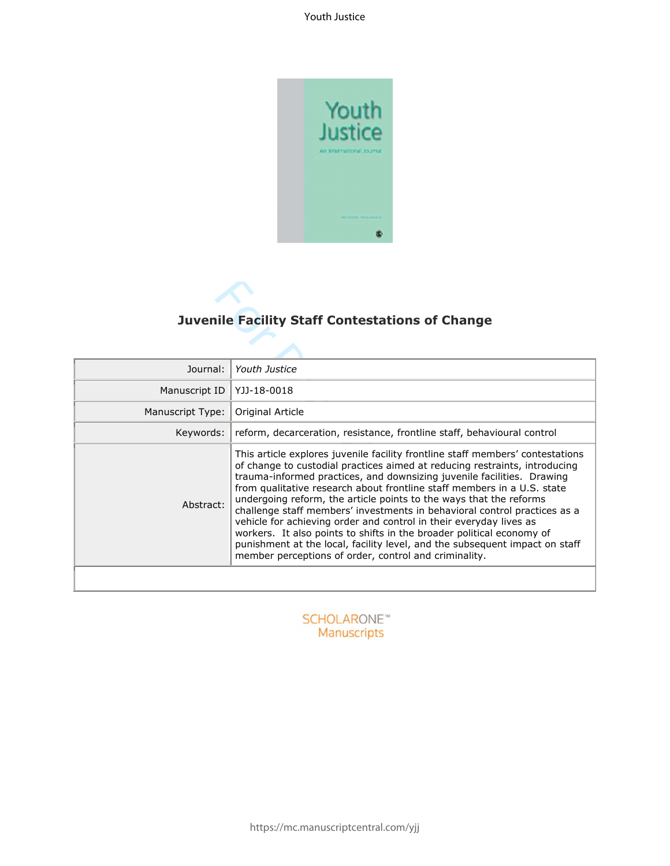

# **Juvenile Facility Staff Contestations of Change**

| Journal:<br>Youth Justice<br>Manuscript ID<br>YJJ-18-0018<br>Original Article<br>Manuscript Type:<br>Keywords:<br>reform, decarceration, resistance, frontline staff, behavioural control<br>This article explores juvenile facility frontline staff members' contestations<br>of change to custodial practices aimed at reducing restraints, introducing<br>trauma-informed practices, and downsizing juvenile facilities. Drawing<br>from qualitative research about frontline staff members in a U.S. state<br>undergoing reform, the article points to the ways that the reforms<br>Abstract:<br>challenge staff members' investments in behavioral control practices as a<br>vehicle for achieving order and control in their everyday lives as<br>workers. It also points to shifts in the broader political economy of | <b>Juvenile Facility Staff Contestations of Change</b> |  |  |  |  |
|-------------------------------------------------------------------------------------------------------------------------------------------------------------------------------------------------------------------------------------------------------------------------------------------------------------------------------------------------------------------------------------------------------------------------------------------------------------------------------------------------------------------------------------------------------------------------------------------------------------------------------------------------------------------------------------------------------------------------------------------------------------------------------------------------------------------------------|--------------------------------------------------------|--|--|--|--|
|                                                                                                                                                                                                                                                                                                                                                                                                                                                                                                                                                                                                                                                                                                                                                                                                                               |                                                        |  |  |  |  |
|                                                                                                                                                                                                                                                                                                                                                                                                                                                                                                                                                                                                                                                                                                                                                                                                                               |                                                        |  |  |  |  |
|                                                                                                                                                                                                                                                                                                                                                                                                                                                                                                                                                                                                                                                                                                                                                                                                                               |                                                        |  |  |  |  |
|                                                                                                                                                                                                                                                                                                                                                                                                                                                                                                                                                                                                                                                                                                                                                                                                                               |                                                        |  |  |  |  |
| punishment at the local, facility level, and the subsequent impact on staff<br>member perceptions of order, control and criminality.                                                                                                                                                                                                                                                                                                                                                                                                                                                                                                                                                                                                                                                                                          |                                                        |  |  |  |  |

**SCHOLARONE™** Manuscripts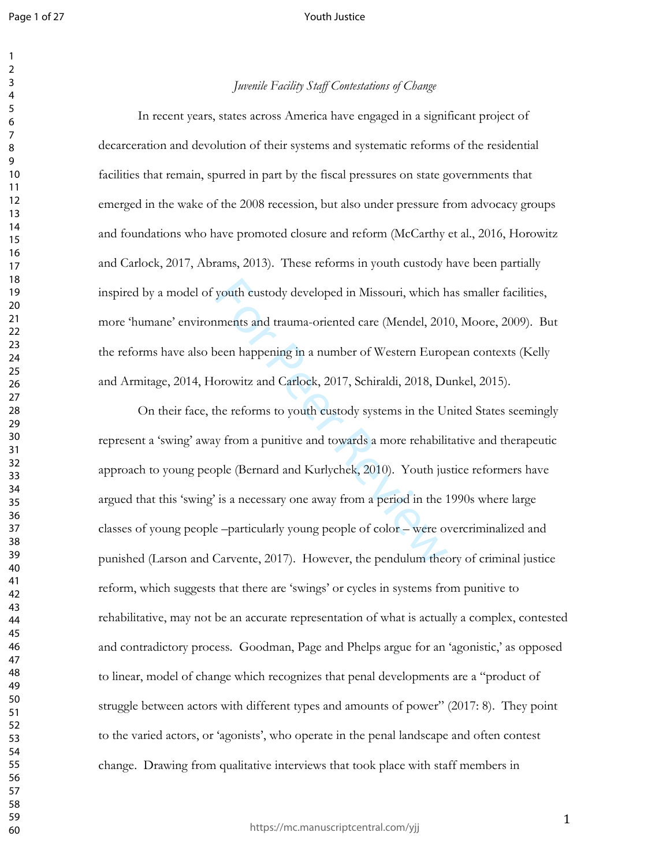## Youth Justice

# *Juvenile Facility Staff Contestations of Change*

In recent years, states across America have engaged in a significant project of decarceration and devolution of their systems and systematic reforms of the residential facilities that remain, spurred in part by the fiscal pressures on state governments that emerged in the wake of the 2008 recession, but also under pressure from advocacy groups and foundations who have promoted closure and reform (McCarthy et al., 2016, Horowitz and Carlock, 2017, Abrams, 2013). These reforms in youth custody have been partially inspired by a model of youth custody developed in Missouri, which has smaller facilities, more 'humane' environments and trauma-oriented care (Mendel, 2010, Moore, 2009). But the reforms have also been happening in a number of Western European contexts (Kelly and Armitage, 2014, Horowitz and Carlock, 2017, Schiraldi, 2018, Dunkel, 2015).

youth custody developed in Missouri, which h<br>nments and trauma-oriented care (Mendel, 201<br>oeen happening in a number of Western Europ<br>orowitz and Carlock, 2017, Schiraldi, 2018, Du<br>he reforms to youth custody systems in th On their face, the reforms to youth custody systems in the United States seemingly represent a 'swing' away from a punitive and towards a more rehabilitative and therapeutic approach to young people (Bernard and Kurlychek, 2010). Youth justice reformers have argued that this 'swing' is a necessary one away from a period in the 1990s where large classes of young people –particularly young people of color – were overcriminalized and punished (Larson and Carvente, 2017). However, the pendulum theory of criminal justice reform, which suggests that there are 'swings' or cycles in systems from punitive to rehabilitative, may not be an accurate representation of what is actually a complex, contested and contradictory process. Goodman, Page and Phelps argue for an 'agonistic,' as opposed to linear, model of change which recognizes that penal developments are a "product of struggle between actors with different types and amounts of power" (2017: 8). They point to the varied actors, or 'agonists', who operate in the penal landscape and often contest change. Drawing from qualitative interviews that took place with staff members in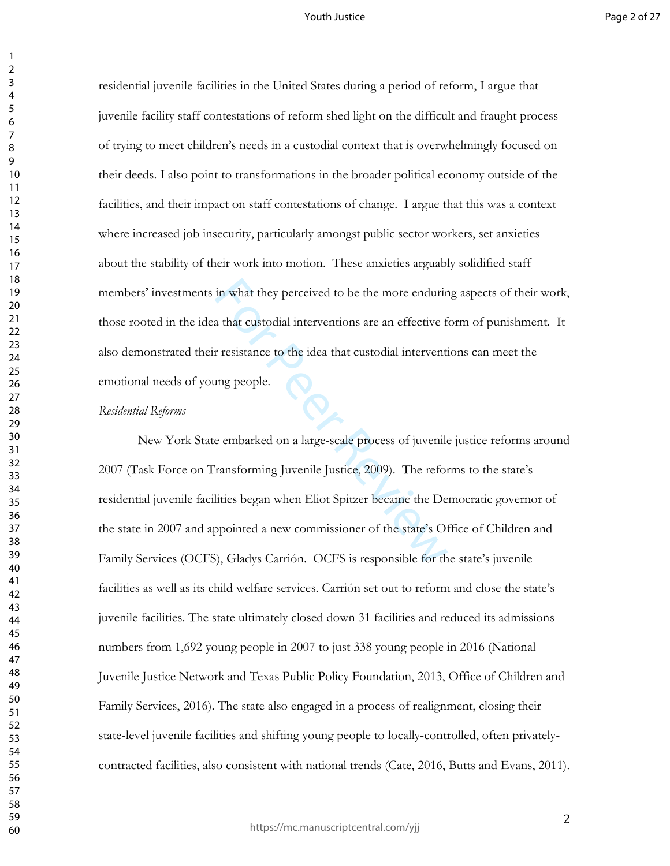residential juvenile facilities in the United States during a period of reform, I argue that juvenile facility staff contestations of reform shed light on the difficult and fraught process of trying to meet children's needs in a custodial context that is overwhelmingly focused on their deeds. I also point to transformations in the broader political economy outside of the facilities, and their impact on staff contestations of change. I argue that this was a context where increased job insecurity, particularly amongst public sector workers, set anxieties about the stability of their work into motion. These anxieties arguably solidified staff members' investments in what they perceived to be the more enduring aspects of their work, those rooted in the idea that custodial interventions are an effective form of punishment. It also demonstrated their resistance to the idea that custodial interventions can meet the emotional needs of young people.

#### *Residential Reforms*

in what they perceived to be the more endurined a that custodial interventions are an effective for resistance to the idea that custodial interventions are an effective for resistance to the idea that custodial interventio New York State embarked on a large-scale process of juvenile justice reforms around 2007 (Task Force on Transforming Juvenile Justice, 2009). The reforms to the state's residential juvenile facilities began when Eliot Spitzer became the Democratic governor of the state in 2007 and appointed a new commissioner of the state's Office of Children and Family Services (OCFS), Gladys Carrión. OCFS is responsible for the state's juvenile facilities as well as its child welfare services. Carrión set out to reform and close the state's juvenile facilities. The state ultimately closed down 31 facilities and reduced its admissions numbers from 1,692 young people in 2007 to just 338 young people in 2016 (National Juvenile Justice Network and Texas Public Policy Foundation, 2013, Office of Children and Family Services, 2016). The state also engaged in a process of realignment, closing their state-level juvenile facilities and shifting young people to locally-controlled, often privatelycontracted facilities, also consistent with national trends (Cate, 2016, Butts and Evans, 2011).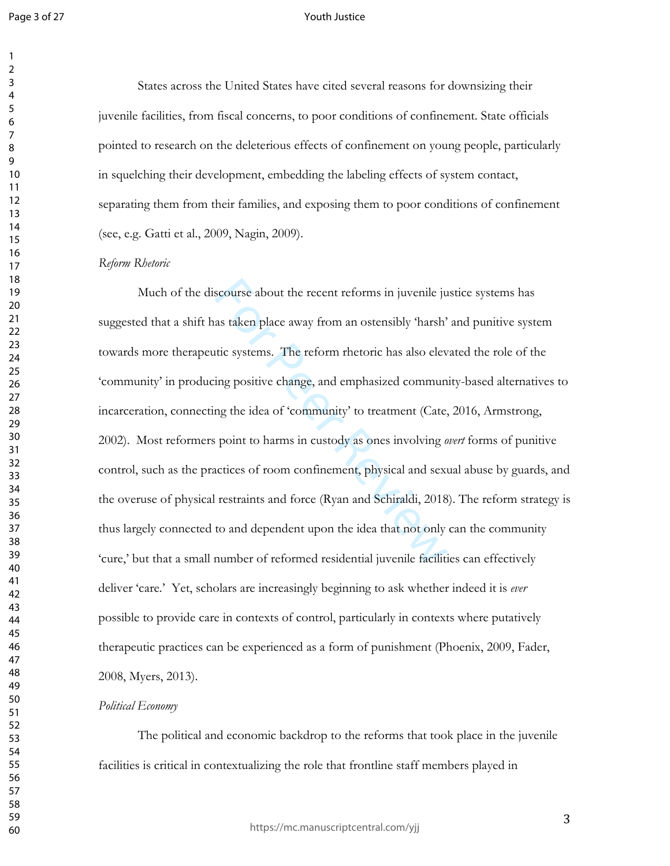## Youth Justice

States across the United States have cited several reasons for downsizing their juvenile facilities, from fiscal concerns, to poor conditions of confinement. State officials pointed to research on the deleterious effects of confinement on young people, particularly in squelching their development, embedding the labeling effects of system contact, separating them from their families, and exposing them to poor conditions of confinement (see, e.g. Gatti et al., 2009, Nagin, 2009).

#### *Reform Rhetoric*

scourse about the recent reforms in juvenile ju<br>as taken place away from an ostensibly 'harsh'<br>tic systems. The reform rhetoric has also elev<br>ing positive change, and emphasized commun<br>mg the idea of 'community' to treatme Much of the discourse about the recent reforms in juvenile justice systems has suggested that a shift has taken place away from an ostensibly 'harsh' and punitive system towards more therapeutic systems. The reform rhetoric has also elevated the role of the 'community' in producing positive change, and emphasized community-based alternatives to incarceration, connecting the idea of 'community' to treatment (Cate, 2016, Armstrong, 2002). Most reformers point to harms in custody as ones involving *overt* forms of punitive control, such as the practices of room confinement, physical and sexual abuse by guards, and the overuse of physical restraints and force (Ryan and Schiraldi, 2018). The reform strategy is thus largely connected to and dependent upon the idea that not only can the community 'cure,' but that a small number of reformed residential juvenile facilities can effectively deliver 'care.' Yet, scholars are increasingly beginning to ask whether indeed it is *ever*  possible to provide care in contexts of control, particularly in contexts where putatively therapeutic practices can be experienced as a form of punishment (Phoenix, 2009, Fader, 2008, Myers, 2013).

## *Political Economy*

The political and economic backdrop to the reforms that took place in the juvenile facilities is critical in contextualizing the role that frontline staff members played in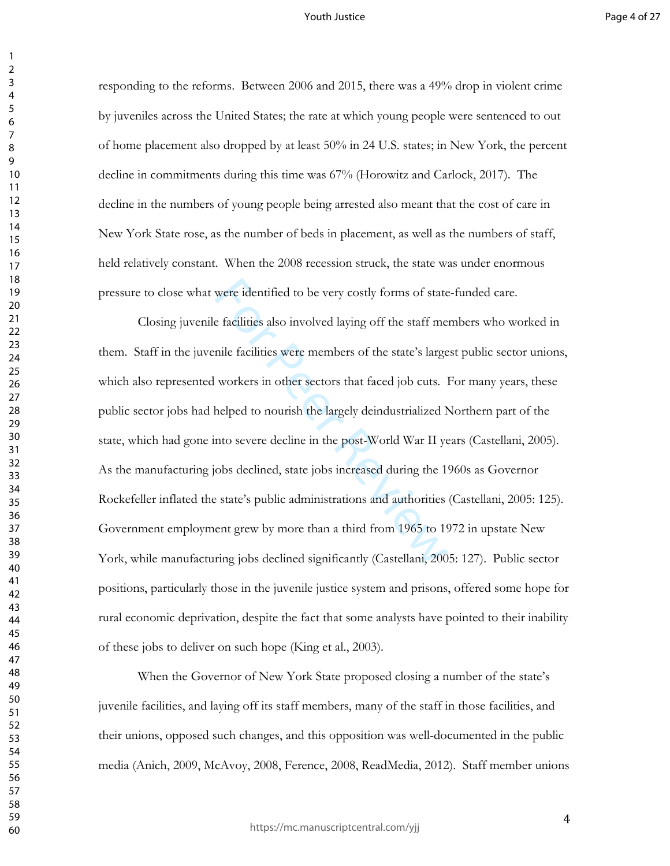responding to the reforms. Between 2006 and 2015, there was a 49% drop in violent crime by juveniles across the United States; the rate at which young people were sentenced to out of home placement also dropped by at least 50% in 24 U.S. states; in New York, the percent decline in commitments during this time was 67% (Horowitz and Carlock, 2017). The decline in the numbers of young people being arrested also meant that the cost of care in New York State rose, as the number of beds in placement, as well as the numbers of staff, held relatively constant. When the 2008 recession struck, the state was under enormous pressure to close what were identified to be very costly forms of state-funded care.

were identified to be very costly forms of state<br>e facilities also involved laying off the staff me<br>nile facilities were members of the state's large<br>workers in other sectors that faced job cuts. I<br>helped to nourish the la Closing juvenile facilities also involved laying off the staff members who worked in them. Staff in the juvenile facilities were members of the state's largest public sector unions, which also represented workers in other sectors that faced job cuts. For many years, these public sector jobs had helped to nourish the largely deindustrialized Northern part of the state, which had gone into severe decline in the post-World War II years (Castellani, 2005). As the manufacturing jobs declined, state jobs increased during the 1960s as Governor Rockefeller inflated the state's public administrations and authorities (Castellani, 2005: 125). Government employment grew by more than a third from 1965 to 1972 in upstate New York, while manufacturing jobs declined significantly (Castellani, 2005: 127). Public sector positions, particularly those in the juvenile justice system and prisons, offered some hope for rural economic deprivation, despite the fact that some analysts have pointed to their inability of these jobs to deliver on such hope (King et al., 2003).

When the Governor of New York State proposed closing a number of the state's juvenile facilities, and laying off its staff members, many of the staff in those facilities, and their unions, opposed such changes, and this opposition was well-documented in the public media (Anich, 2009, McAvoy, 2008, Ference, 2008, ReadMedia, 2012). Staff member unions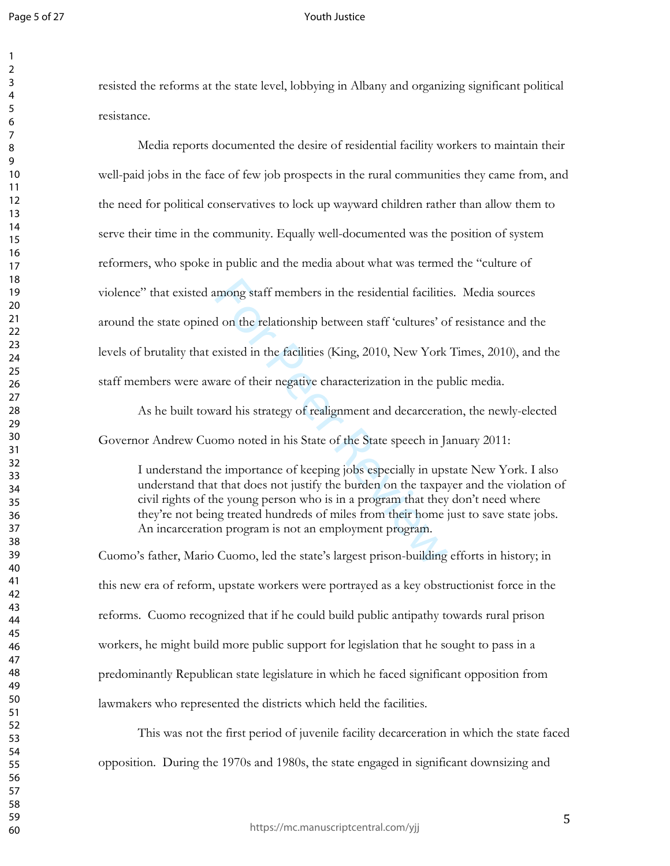#### Youth Justice

resisted the reforms at the state level, lobbying in Albany and organizing significant political resistance.

mong staff members in the residential facilitie<br>d on the relationship between staff 'cultures' of<br>existed in the facilities (King, 2010, New York<br>are of their negative characterization in the pu<br>ard his strategy of realign Media reports documented the desire of residential facility workers to maintain their well-paid jobs in the face of few job prospects in the rural communities they came from, and the need for political conservatives to lock up wayward children rather than allow them to serve their time in the community. Equally well-documented was the position of system reformers, who spoke in public and the media about what was termed the "culture of violence" that existed among staff members in the residential facilities. Media sources around the state opined on the relationship between staff 'cultures' of resistance and the levels of brutality that existed in the facilities (King, 2010, New York Times, 2010), and the staff members were aware of their negative characterization in the public media.

As he built toward his strategy of realignment and decarceration, the newly-elected Governor Andrew Cuomo noted in his State of the State speech in January 2011:

I understand the importance of keeping jobs especially in upstate New York. I also understand that that does not justify the burden on the taxpayer and the violation of civil rights of the young person who is in a program that they don't need where they're not being treated hundreds of miles from their home just to save state jobs. An incarceration program is not an employment program.

Cuomo's father, Mario Cuomo, led the state's largest prison-building efforts in history; in this new era of reform, upstate workers were portrayed as a key obstructionist force in the reforms. Cuomo recognized that if he could build public antipathy towards rural prison workers, he might build more public support for legislation that he sought to pass in a predominantly Republican state legislature in which he faced significant opposition from lawmakers who represented the districts which held the facilities.

 This was not the first period of juvenile facility decarceration in which the state faced opposition. During the 1970s and 1980s, the state engaged in significant downsizing and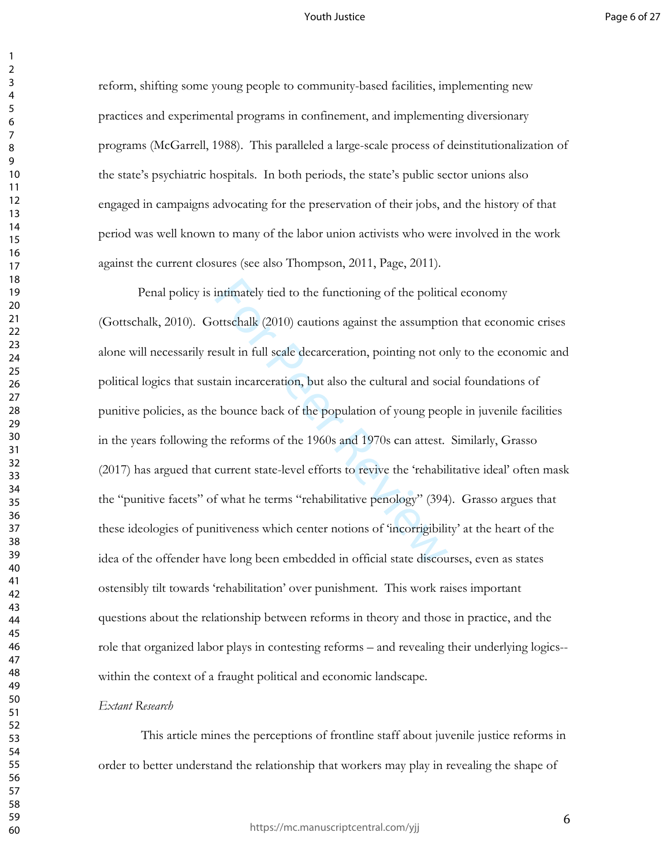reform, shifting some young people to community-based facilities, implementing new practices and experimental programs in confinement, and implementing diversionary programs (McGarrell, 1988). This paralleled a large-scale process of deinstitutionalization of the state's psychiatric hospitals. In both periods, the state's public sector unions also engaged in campaigns advocating for the preservation of their jobs, and the history of that period was well known to many of the labor union activists who were involved in the work against the current closures (see also Thompson, 2011, Page, 2011).

intimately tied to the functioning of the politic<br>ottschalk (2010) cautions against the assumptic<br>ssult in full scale decarceration, pointing not or<br>tain incarceration, but also the cultural and soc<br>bounce back of the popu Penal policy is intimately tied to the functioning of the political economy (Gottschalk, 2010). Gottschalk (2010) cautions against the assumption that economic crises alone will necessarily result in full scale decarceration, pointing not only to the economic and political logics that sustain incarceration, but also the cultural and social foundations of punitive policies, as the bounce back of the population of young people in juvenile facilities in the years following the reforms of the 1960s and 1970s can attest. Similarly, Grasso (2017) has argued that current state-level efforts to revive the 'rehabilitative ideal' often mask the "punitive facets" of what he terms "rehabilitative penology" (394). Grasso argues that these ideologies of punitiveness which center notions of 'incorrigibility' at the heart of the idea of the offender have long been embedded in official state discourses, even as states ostensibly tilt towards 'rehabilitation' over punishment. This work raises important questions about the relationship between reforms in theory and those in practice, and the role that organized labor plays in contesting reforms – and revealing their underlying logics- within the context of a fraught political and economic landscape.

# *Extant Research*

 This article mines the perceptions of frontline staff about juvenile justice reforms in order to better understand the relationship that workers may play in revealing the shape of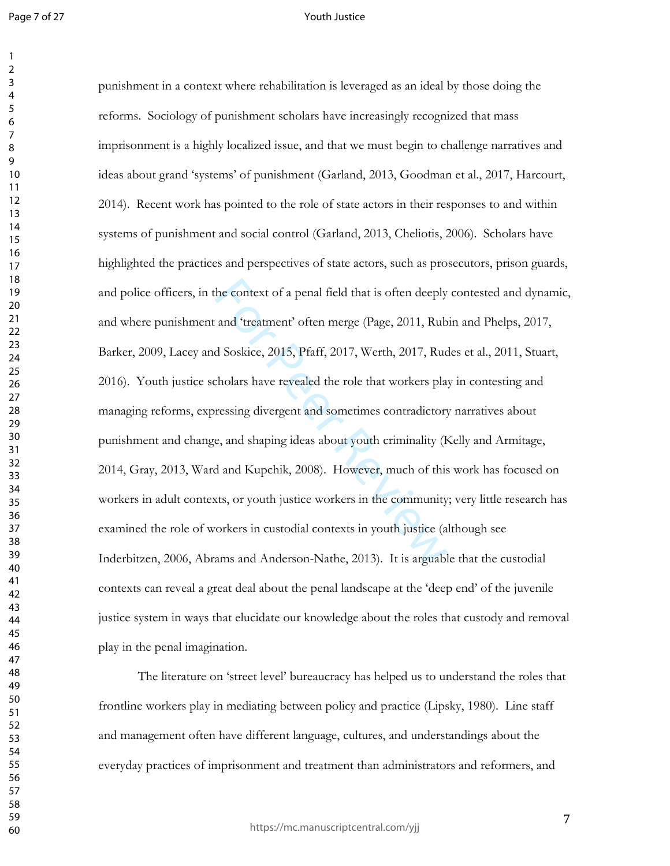the context of a penal field that is often deeply<br>and 'treatment' often merge (Page, 2011, Rub<br>d Soskice, 2015, Pfaff, 2017, Werth, 2017, Ruc<br>cholars have revealed the role that workers play<br>ressing divergent and sometimes punishment in a context where rehabilitation is leveraged as an ideal by those doing the reforms. Sociology of punishment scholars have increasingly recognized that mass imprisonment is a highly localized issue, and that we must begin to challenge narratives and ideas about grand 'systems' of punishment (Garland, 2013, Goodman et al., 2017, Harcourt, 2014). Recent work has pointed to the role of state actors in their responses to and within systems of punishment and social control (Garland, 2013, Cheliotis, 2006). Scholars have highlighted the practices and perspectives of state actors, such as prosecutors, prison guards, and police officers, in the context of a penal field that is often deeply contested and dynamic, and where punishment and 'treatment' often merge (Page, 2011, Rubin and Phelps, 2017, Barker, 2009, Lacey and Soskice, 2015, Pfaff, 2017, Werth, 2017, Rudes et al., 2011, Stuart, 2016). Youth justice scholars have revealed the role that workers play in contesting and managing reforms, expressing divergent and sometimes contradictory narratives about punishment and change, and shaping ideas about youth criminality (Kelly and Armitage, 2014, Gray, 2013, Ward and Kupchik, 2008). However, much of this work has focused on workers in adult contexts, or youth justice workers in the community; very little research has examined the role of workers in custodial contexts in youth justice (although see Inderbitzen, 2006, Abrams and Anderson-Nathe, 2013). It is arguable that the custodial contexts can reveal a great deal about the penal landscape at the 'deep end' of the juvenile justice system in ways that elucidate our knowledge about the roles that custody and removal play in the penal imagination.

 The literature on 'street level' bureaucracy has helped us to understand the roles that frontline workers play in mediating between policy and practice (Lipsky, 1980). Line staff and management often have different language, cultures, and understandings about the everyday practices of imprisonment and treatment than administrators and reformers, and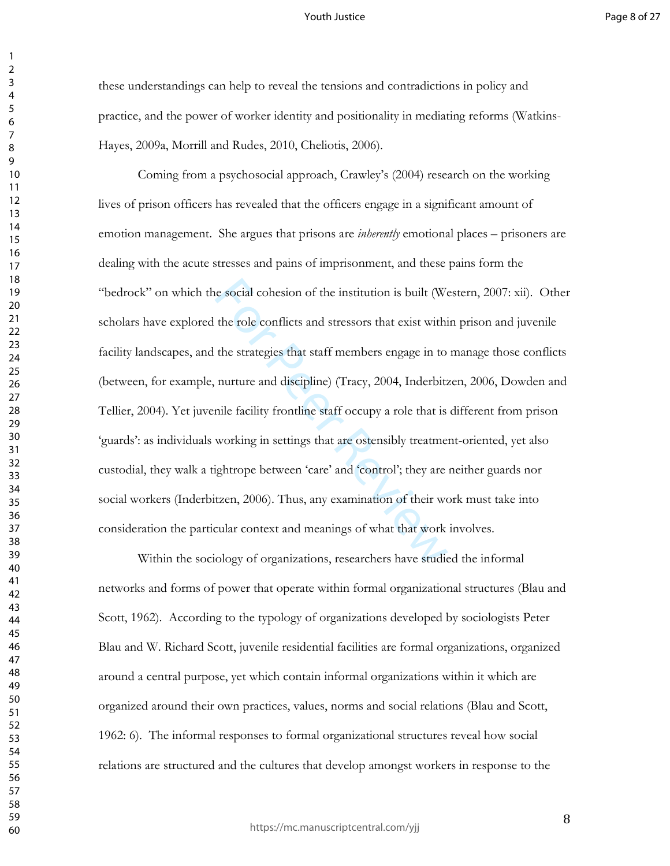these understandings can help to reveal the tensions and contradictions in policy and practice, and the power of worker identity and positionality in mediating reforms (Watkins-Hayes, 2009a, Morrill and Rudes, 2010, Cheliotis, 2006).

is social cohesion of the institution is built (We<br>the role conflicts and stressors that exist within<br>the strategies that staff members engage in to<br>nurture and discipline) (Tracy, 2004, Inderbits<br>nile facility frontline s Coming from a psychosocial approach, Crawley's (2004) research on the working lives of prison officers has revealed that the officers engage in a significant amount of emotion management. She argues that prisons are *inherently* emotional places – prisoners are dealing with the acute stresses and pains of imprisonment, and these pains form the "bedrock" on which the social cohesion of the institution is built (Western, 2007: xii). Other scholars have explored the role conflicts and stressors that exist within prison and juvenile facility landscapes, and the strategies that staff members engage in to manage those conflicts (between, for example, nurture and discipline) (Tracy, 2004, Inderbitzen, 2006, Dowden and Tellier, 2004). Yet juvenile facility frontline staff occupy a role that is different from prison 'guards': as individuals working in settings that are ostensibly treatment-oriented, yet also custodial, they walk a tightrope between 'care' and 'control'; they are neither guards nor social workers (Inderbitzen, 2006). Thus, any examination of their work must take into consideration the particular context and meanings of what that work involves.

 Within the sociology of organizations, researchers have studied the informal networks and forms of power that operate within formal organizational structures (Blau and Scott, 1962). According to the typology of organizations developed by sociologists Peter Blau and W. Richard Scott, juvenile residential facilities are formal organizations, organized around a central purpose, yet which contain informal organizations within it which are organized around their own practices, values, norms and social relations (Blau and Scott, 1962: 6). The informal responses to formal organizational structures reveal how social relations are structured and the cultures that develop amongst workers in response to the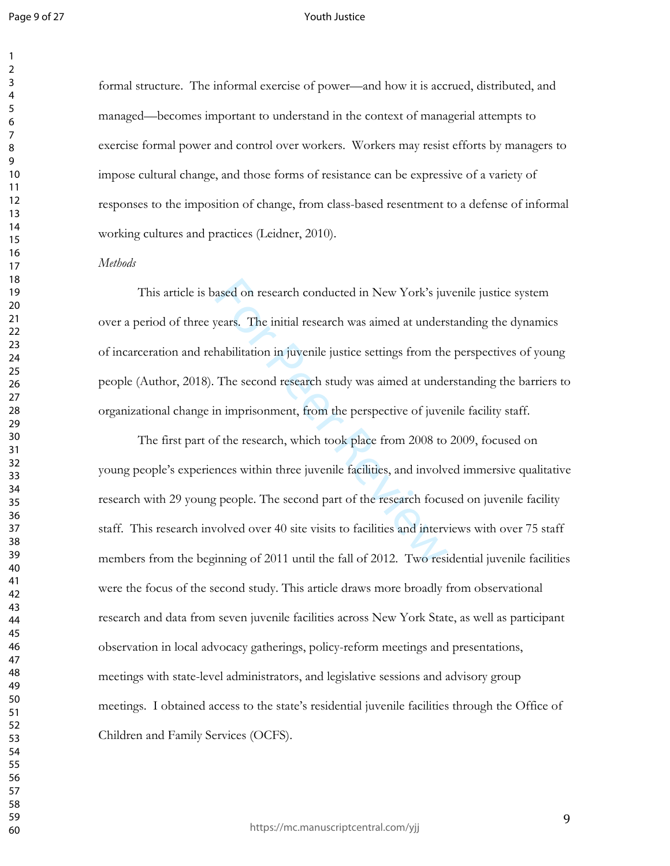Page 9 of 27

#### Youth Justice

formal structure. The informal exercise of power—and how it is accrued, distributed, and managed—becomes important to understand in the context of managerial attempts to exercise formal power and control over workers. Workers may resist efforts by managers to impose cultural change, and those forms of resistance can be expressive of a variety of responses to the imposition of change, from class-based resentment to a defense of informal working cultures and practices (Leidner, 2010).

#### *Methods*

This article is based on research conducted in New York's juvenile justice system over a period of three years. The initial research was aimed at understanding the dynamics of incarceration and rehabilitation in juvenile justice settings from the perspectives of young people (Author, 2018). The second research study was aimed at understanding the barriers to organizational change in imprisonment, from the perspective of juvenile facility staff.

ased on research conducted in New York's juvently<br>years. The initial research was aimed at unders<br>habilitation in juvenile justice settings from the<br>The second research study was aimed at unde<br>n imprisonment, from the pers The first part of the research, which took place from 2008 to 2009, focused on young people's experiences within three juvenile facilities, and involved immersive qualitative research with 29 young people. The second part of the research focused on juvenile facility staff. This research involved over 40 site visits to facilities and interviews with over 75 staff members from the beginning of 2011 until the fall of 2012. Two residential juvenile facilities were the focus of the second study. This article draws more broadly from observational research and data from seven juvenile facilities across New York State, as well as participant observation in local advocacy gatherings, policy-reform meetings and presentations, meetings with state-level administrators, and legislative sessions and advisory group meetings. I obtained access to the state's residential juvenile facilities through the Office of Children and Family Services (OCFS).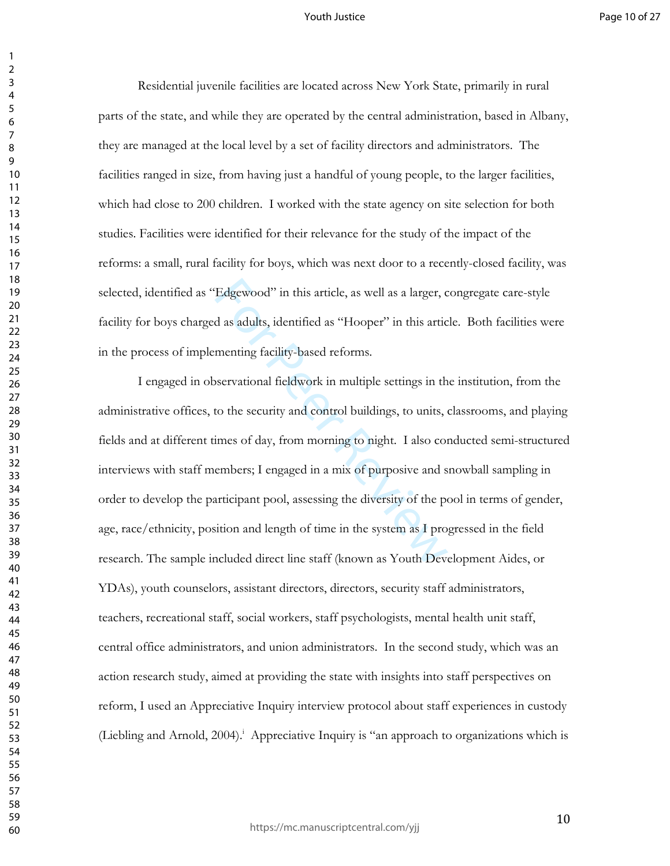Residential juvenile facilities are located across New York State, primarily in rural parts of the state, and while they are operated by the central administration, based in Albany, they are managed at the local level by a set of facility directors and administrators. The facilities ranged in size, from having just a handful of young people, to the larger facilities, which had close to 200 children. I worked with the state agency on site selection for both studies. Facilities were identified for their relevance for the study of the impact of the reforms: a small, rural facility for boys, which was next door to a recently-closed facility, was selected, identified as "Edgewood" in this article, as well as a larger, congregate care-style facility for boys charged as adults, identified as "Hooper" in this article. Both facilities were in the process of implementing facility-based reforms.

Edgewood" in this article, as well as a larger, c<br>d as adults, identified as "Hooper" in this artic<br>menting facility-based reforms.<br>sservational fieldwork in multiple settings in th<br>to the security and control buildings, t I engaged in observational fieldwork in multiple settings in the institution, from the administrative offices, to the security and control buildings, to units, classrooms, and playing fields and at different times of day, from morning to night. I also conducted semi-structured interviews with staff members; I engaged in a mix of purposive and snowball sampling in order to develop the participant pool, assessing the diversity of the pool in terms of gender, age, race/ethnicity, position and length of time in the system as I progressed in the field research. The sample included direct line staff (known as Youth Development Aides, or YDAs), youth counselors, assistant directors, directors, security staff administrators, teachers, recreational staff, social workers, staff psychologists, mental health unit staff, central office administrators, and union administrators. In the second study, which was an action research study, aimed at providing the state with insights into staff perspectives on reform, I used an Appreciative Inquiry interview protocol about staff experiences in custody (Liebling and Arnold, 2004).<sup>i</sup> Appreciative Inquiry is "an approach to organizations which is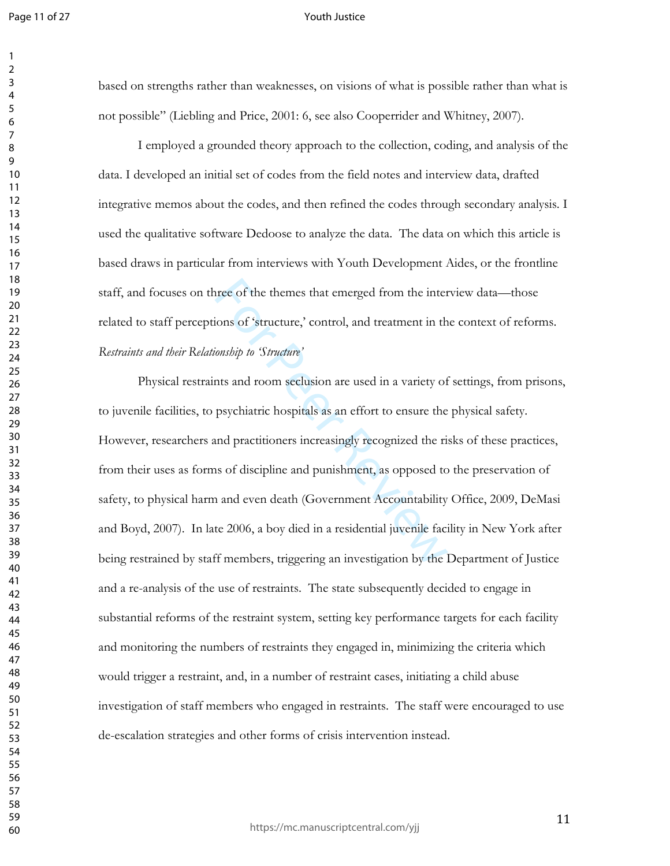based on strengths rather than weaknesses, on visions of what is possible rather than what is not possible" (Liebling and Price, 2001: 6, see also Cooperrider and Whitney, 2007).

 I employed a grounded theory approach to the collection, coding, and analysis of the data. I developed an initial set of codes from the field notes and interview data, drafted integrative memos about the codes, and then refined the codes through secondary analysis. I used the qualitative software Dedoose to analyze the data. The data on which this article is based draws in particular from interviews with Youth Development Aides, or the frontline staff, and focuses on three of the themes that emerged from the interview data—those related to staff perceptions of 'structure,' control, and treatment in the context of reforms. *Restraints and their Relationship to 'Structure'* 

are of the themes that emerged from the inter<br>ions of 'structure,' control, and treatment in th<br>ionship to 'Structure'<br>nts and room seclusion are used in a variety of<br>psychiatric hospitals as an effort to ensure the<br>indepe Physical restraints and room seclusion are used in a variety of settings, from prisons, to juvenile facilities, to psychiatric hospitals as an effort to ensure the physical safety. However, researchers and practitioners increasingly recognized the risks of these practices, from their uses as forms of discipline and punishment, as opposed to the preservation of safety, to physical harm and even death (Government Accountability Office, 2009, DeMasi and Boyd, 2007). In late 2006, a boy died in a residential juvenile facility in New York after being restrained by staff members, triggering an investigation by the Department of Justice and a re-analysis of the use of restraints. The state subsequently decided to engage in substantial reforms of the restraint system, setting key performance targets for each facility and monitoring the numbers of restraints they engaged in, minimizing the criteria which would trigger a restraint, and, in a number of restraint cases, initiating a child abuse investigation of staff members who engaged in restraints. The staff were encouraged to use de-escalation strategies and other forms of crisis intervention instead.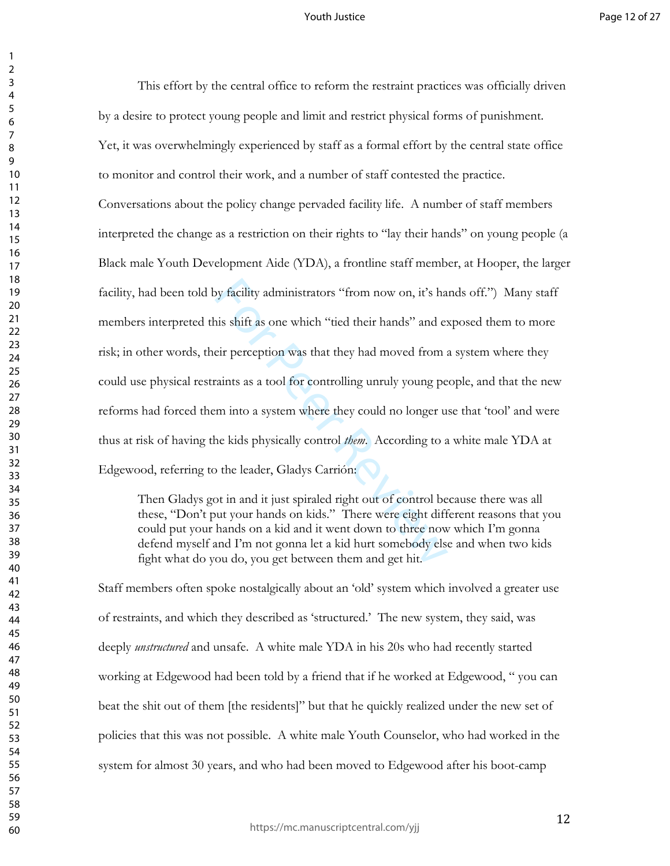by facility administrators "from now on, it's ha<br>is shift as one which "tied their hands" and ex-<br>eir perception was that they had moved from a<br>raints as a tool for controlling unruly young pe<br>m into a system where they co This effort by the central office to reform the restraint practices was officially driven by a desire to protect young people and limit and restrict physical forms of punishment. Yet, it was overwhelmingly experienced by staff as a formal effort by the central state office to monitor and control their work, and a number of staff contested the practice. Conversations about the policy change pervaded facility life. A number of staff members interpreted the change as a restriction on their rights to "lay their hands" on young people (a Black male Youth Development Aide (YDA), a frontline staff member, at Hooper, the larger facility, had been told by facility administrators "from now on, it's hands off.") Many staff members interpreted this shift as one which "tied their hands" and exposed them to more risk; in other words, their perception was that they had moved from a system where they could use physical restraints as a tool for controlling unruly young people, and that the new reforms had forced them into a system where they could no longer use that 'tool' and were thus at risk of having the kids physically control *them*. According to a white male YDA at Edgewood, referring to the leader, Gladys Carrión:

Then Gladys got in and it just spiraled right out of control because there was all these, "Don't put your hands on kids." There were eight different reasons that you could put your hands on a kid and it went down to three now which I'm gonna defend myself and I'm not gonna let a kid hurt somebody else and when two kids fight what do you do, you get between them and get hit.

Staff members often spoke nostalgically about an 'old' system which involved a greater use of restraints, and which they described as 'structured.' The new system, they said, was deeply *unstructured* and unsafe. A white male YDA in his 20s who had recently started working at Edgewood had been told by a friend that if he worked at Edgewood, " you can beat the shit out of them [the residents]" but that he quickly realized under the new set of policies that this was not possible. A white male Youth Counselor, who had worked in the system for almost 30 years, and who had been moved to Edgewood after his boot-camp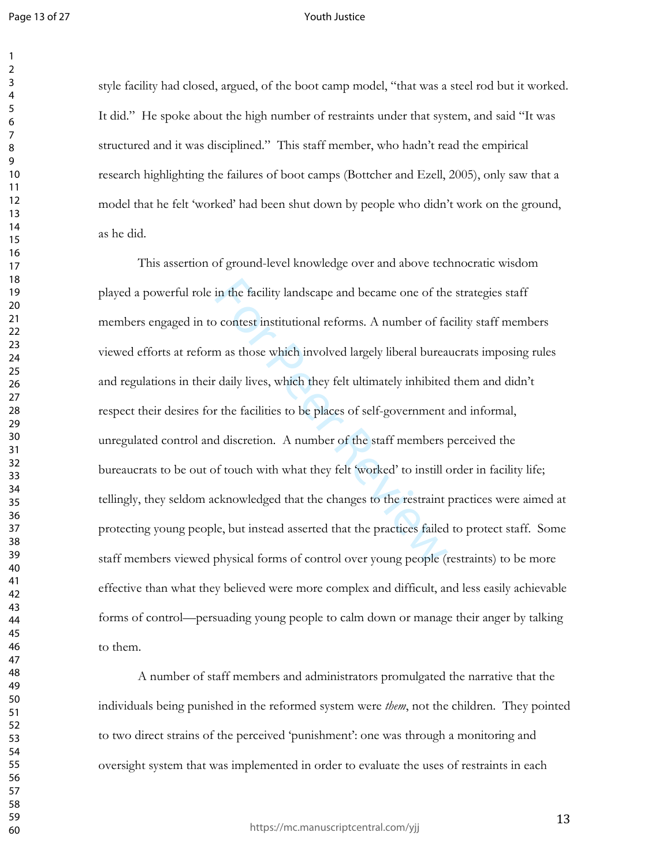style facility had closed, argued, of the boot camp model, "that was a steel rod but it worked. It did." He spoke about the high number of restraints under that system, and said "It was structured and it was disciplined." This staff member, who hadn't read the empirical research highlighting the failures of boot camps (Bottcher and Ezell, 2005), only saw that a model that he felt 'worked' had been shut down by people who didn't work on the ground, as he did.

in the facility landscape and became one of the<br>
contest institutional reforms. A number of fa<br>
m as those which involved largely liberal burea<br>
daily lives, which they felt ultimately inhibited<br>
r the facilities to be pla This assertion of ground-level knowledge over and above technocratic wisdom played a powerful role in the facility landscape and became one of the strategies staff members engaged in to contest institutional reforms. A number of facility staff members viewed efforts at reform as those which involved largely liberal bureaucrats imposing rules and regulations in their daily lives, which they felt ultimately inhibited them and didn't respect their desires for the facilities to be places of self-government and informal, unregulated control and discretion. A number of the staff members perceived the bureaucrats to be out of touch with what they felt 'worked' to instill order in facility life; tellingly, they seldom acknowledged that the changes to the restraint practices were aimed at protecting young people, but instead asserted that the practices failed to protect staff. Some staff members viewed physical forms of control over young people (restraints) to be more effective than what they believed were more complex and difficult, and less easily achievable forms of control—persuading young people to calm down or manage their anger by talking to them.

 A number of staff members and administrators promulgated the narrative that the individuals being punished in the reformed system were *them*, not the children. They pointed to two direct strains of the perceived 'punishment': one was through a monitoring and oversight system that was implemented in order to evaluate the uses of restraints in each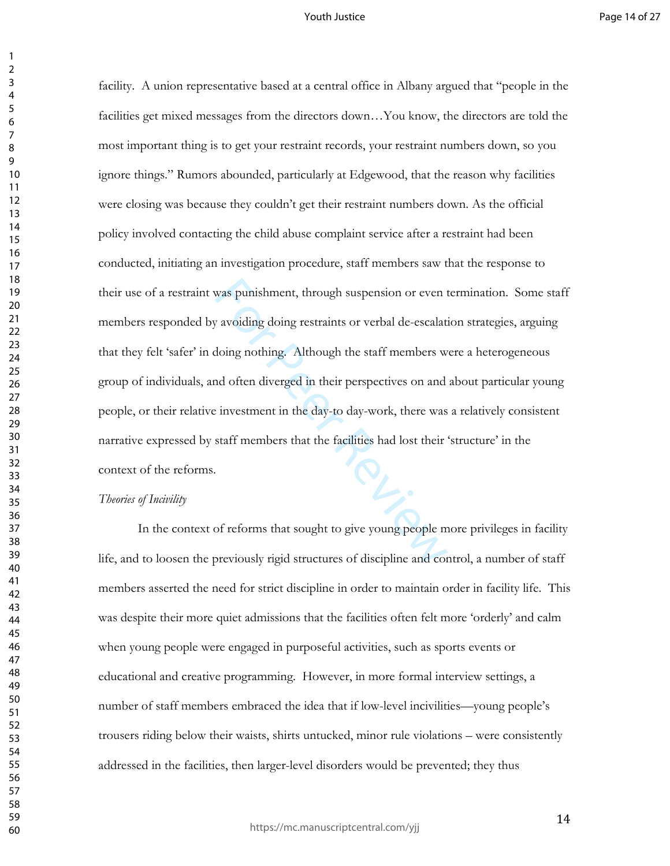was punishment, through suspension or even to a<br>various providing doing restraints or verbal de-escalation doing nothing. Although the staff members would often diverged in their perspectives on and<br>investment in the day-t facility. A union representative based at a central office in Albany argued that "people in the facilities get mixed messages from the directors down…You know, the directors are told the most important thing is to get your restraint records, your restraint numbers down, so you ignore things." Rumors abounded, particularly at Edgewood, that the reason why facilities were closing was because they couldn't get their restraint numbers down. As the official policy involved contacting the child abuse complaint service after a restraint had been conducted, initiating an investigation procedure, staff members saw that the response to their use of a restraint was punishment, through suspension or even termination. Some staff members responded by avoiding doing restraints or verbal de-escalation strategies, arguing that they felt 'safer' in doing nothing. Although the staff members were a heterogeneous group of individuals, and often diverged in their perspectives on and about particular young people, or their relative investment in the day-to day-work, there was a relatively consistent narrative expressed by staff members that the facilities had lost their 'structure' in the context of the reforms.

## *Theories of Incivility*

In the context of reforms that sought to give young people more privileges in facility life, and to loosen the previously rigid structures of discipline and control, a number of staff members asserted the need for strict discipline in order to maintain order in facility life. This was despite their more quiet admissions that the facilities often felt more 'orderly' and calm when young people were engaged in purposeful activities, such as sports events or educational and creative programming. However, in more formal interview settings, a number of staff members embraced the idea that if low-level incivilities—young people's trousers riding below their waists, shirts untucked, minor rule violations – were consistently addressed in the facilities, then larger-level disorders would be prevented; they thus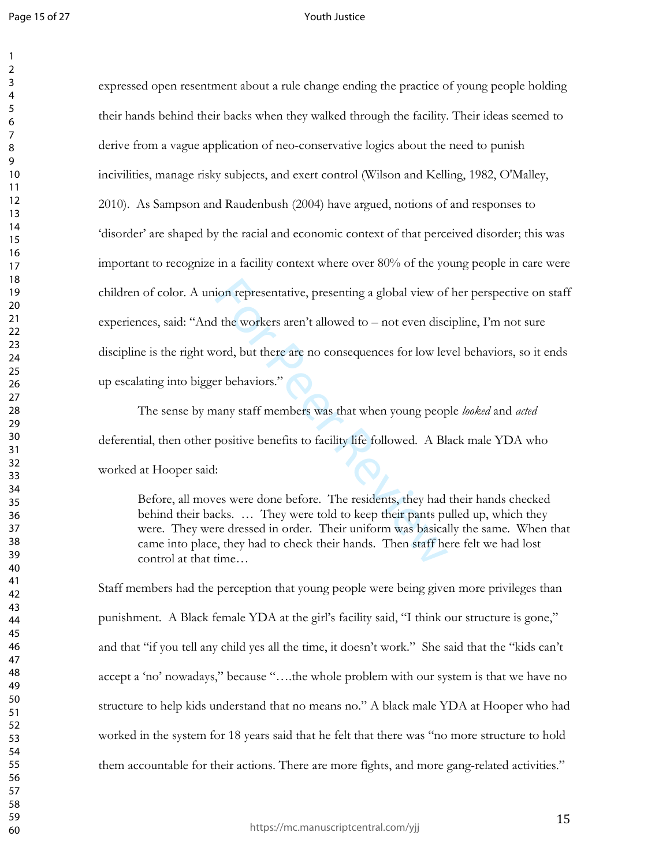#### Youth Justice

ion representative, presenting a global view of<br>
I the workers aren't allowed to – not even disc<br>
ord, but there are no consequences for low lev<br>
re behaviors."<br>
Many staff members was that when young peop<br>
positive benefi expressed open resentment about a rule change ending the practice of young people holding their hands behind their backs when they walked through the facility. Their ideas seemed to derive from a vague application of neo-conservative logics about the need to punish incivilities, manage risky subjects, and exert control (Wilson and Kelling, 1982, O'Malley, 2010). As Sampson and Raudenbush (2004) have argued, notions of and responses to 'disorder' are shaped by the racial and economic context of that perceived disorder; this was important to recognize in a facility context where over 80% of the young people in care were children of color. A union representative, presenting a global view of her perspective on staff experiences, said: "And the workers aren't allowed to – not even discipline, I'm not sure discipline is the right word, but there are no consequences for low level behaviors, so it ends up escalating into bigger behaviors."

 The sense by many staff members was that when young people *looked* and *acted* deferential, then other positive benefits to facility life followed. A Black male YDA who worked at Hooper said:

Before, all moves were done before. The residents, they had their hands checked behind their backs. … They were told to keep their pants pulled up, which they were. They were dressed in order. Their uniform was basically the same. When that came into place, they had to check their hands. Then staff here felt we had lost control at that time…

Staff members had the perception that young people were being given more privileges than punishment. A Black female YDA at the girl's facility said, "I think our structure is gone," and that "if you tell any child yes all the time, it doesn't work." She said that the "kids can't accept a 'no' nowadays," because "….the whole problem with our system is that we have no structure to help kids understand that no means no." A black male YDA at Hooper who had worked in the system for 18 years said that he felt that there was "no more structure to hold them accountable for their actions. There are more fights, and more gang-related activities."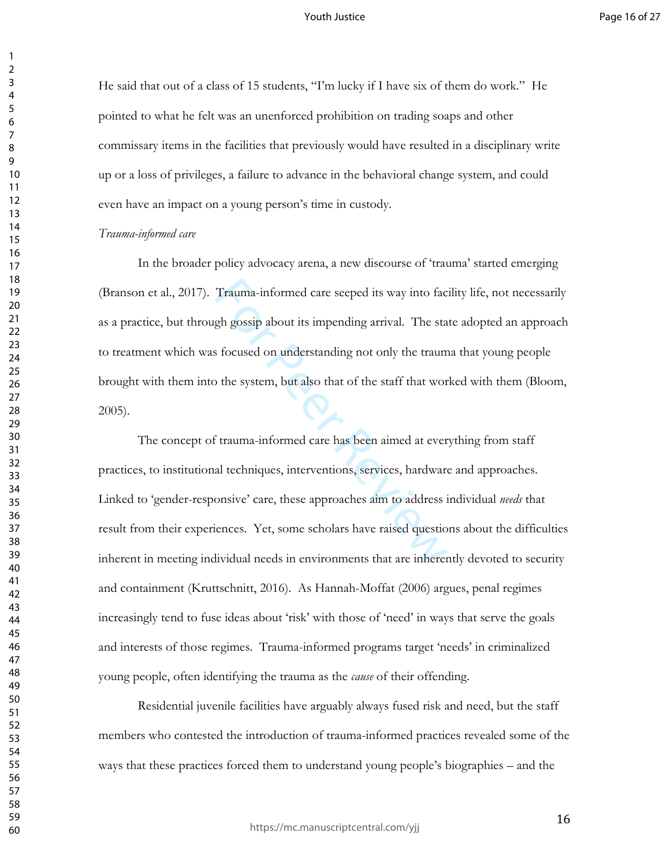He said that out of a class of 15 students, "I'm lucky if I have six of them do work." He pointed to what he felt was an unenforced prohibition on trading soaps and other commissary items in the facilities that previously would have resulted in a disciplinary write up or a loss of privileges, a failure to advance in the behavioral change system, and could even have an impact on a young person's time in custody.

#### *Trauma-informed care*

Trauma-informed care seeped its way into fact<br>gh gossip about its impending arrival. The sta<br>s focused on understanding not only the traum<br>o the system, but also that of the staff that wor<br>it trauma-informed care has been In the broader policy advocacy arena, a new discourse of 'trauma' started emerging (Branson et al., 2017). Trauma-informed care seeped its way into facility life, not necessarily as a practice, but through gossip about its impending arrival. The state adopted an approach to treatment which was focused on understanding not only the trauma that young people brought with them into the system, but also that of the staff that worked with them (Bloom, 2005).

The concept of trauma-informed care has been aimed at everything from staff practices, to institutional techniques, interventions, services, hardware and approaches. Linked to 'gender-responsive' care, these approaches aim to address individual *needs* that result from their experiences. Yet, some scholars have raised questions about the difficulties inherent in meeting individual needs in environments that are inherently devoted to security and containment (Kruttschnitt, 2016). As Hannah-Moffat (2006) argues, penal regimes increasingly tend to fuse ideas about 'risk' with those of 'need' in ways that serve the goals and interests of those regimes. Trauma-informed programs target 'needs' in criminalized young people, often identifying the trauma as the *cause* of their offending.

Residential juvenile facilities have arguably always fused risk and need, but the staff members who contested the introduction of trauma-informed practices revealed some of the ways that these practices forced them to understand young people's biographies – and the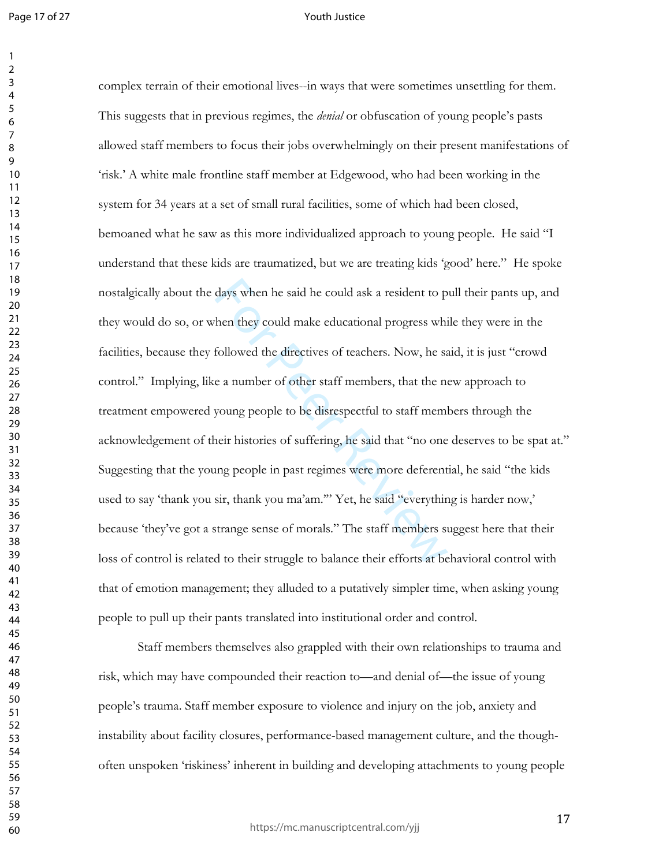Page 17 of 27

## Youth Justice

days when he said he could ask a resident to p<br>hen they could make educational progress whi<br>followed the directives of teachers. Now, he sa<br>e a number of other staff members, that the ne<br>young people to be disrespectful to complex terrain of their emotional lives--in ways that were sometimes unsettling for them. This suggests that in previous regimes, the *denial* or obfuscation of young people's pasts allowed staff members to focus their jobs overwhelmingly on their present manifestations of 'risk.' A white male frontline staff member at Edgewood, who had been working in the system for 34 years at a set of small rural facilities, some of which had been closed, bemoaned what he saw as this more individualized approach to young people. He said "I understand that these kids are traumatized, but we are treating kids 'good' here." He spoke nostalgically about the days when he said he could ask a resident to pull their pants up, and they would do so, or when they could make educational progress while they were in the facilities, because they followed the directives of teachers. Now, he said, it is just "crowd control." Implying, like a number of other staff members, that the new approach to treatment empowered young people to be disrespectful to staff members through the acknowledgement of their histories of suffering, he said that "no one deserves to be spat at." Suggesting that the young people in past regimes were more deferential, he said "the kids used to say 'thank you sir, thank you ma'am.'" Yet, he said "everything is harder now,' because 'they've got a strange sense of morals." The staff members suggest here that their loss of control is related to their struggle to balance their efforts at behavioral control with that of emotion management; they alluded to a putatively simpler time, when asking young people to pull up their pants translated into institutional order and control.

Staff members themselves also grappled with their own relationships to trauma and risk, which may have compounded their reaction to—and denial of—the issue of young people's trauma. Staff member exposure to violence and injury on the job, anxiety and instability about facility closures, performance-based management culture, and the thoughoften unspoken 'riskiness' inherent in building and developing attachments to young people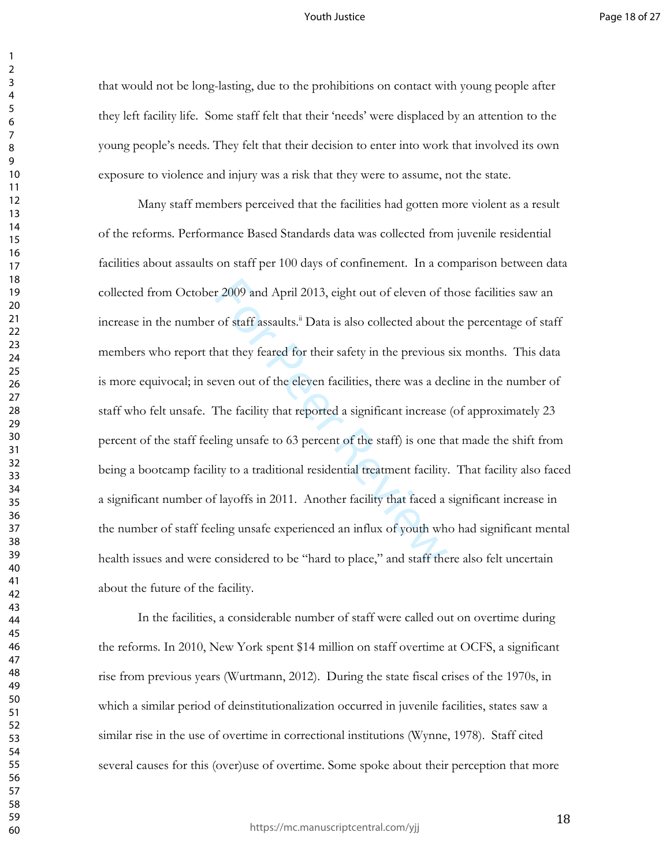that would not be long-lasting, due to the prohibitions on contact with young people after they left facility life. Some staff felt that their 'needs' were displaced by an attention to the young people's needs. They felt that their decision to enter into work that involved its own exposure to violence and injury was a risk that they were to assume, not the state.

r 2009 and April 2013, eight out of eleven of the of staff assaults.<sup>ii</sup> Data is also collected about hat they feared for their safety in the previous even out of the eleven facilities, there was a der The facility that re Many staff members perceived that the facilities had gotten more violent as a result of the reforms. Performance Based Standards data was collected from juvenile residential facilities about assaults on staff per 100 days of confinement. In a comparison between data collected from October 2009 and April 2013, eight out of eleven of those facilities saw an increase in the number of staff assaults.<sup>ii</sup> Data is also collected about the percentage of staff members who report that they feared for their safety in the previous six months. This data is more equivocal; in seven out of the eleven facilities, there was a decline in the number of staff who felt unsafe. The facility that reported a significant increase (of approximately 23 percent of the staff feeling unsafe to 63 percent of the staff) is one that made the shift from being a bootcamp facility to a traditional residential treatment facility. That facility also faced a significant number of layoffs in 2011. Another facility that faced a significant increase in the number of staff feeling unsafe experienced an influx of youth who had significant mental health issues and were considered to be "hard to place," and staff there also felt uncertain about the future of the facility.

In the facilities, a considerable number of staff were called out on overtime during the reforms. In 2010, New York spent \$14 million on staff overtime at OCFS, a significant rise from previous years (Wurtmann, 2012). During the state fiscal crises of the 1970s, in which a similar period of deinstitutionalization occurred in juvenile facilities, states saw a similar rise in the use of overtime in correctional institutions (Wynne, 1978). Staff cited several causes for this (over)use of overtime. Some spoke about their perception that more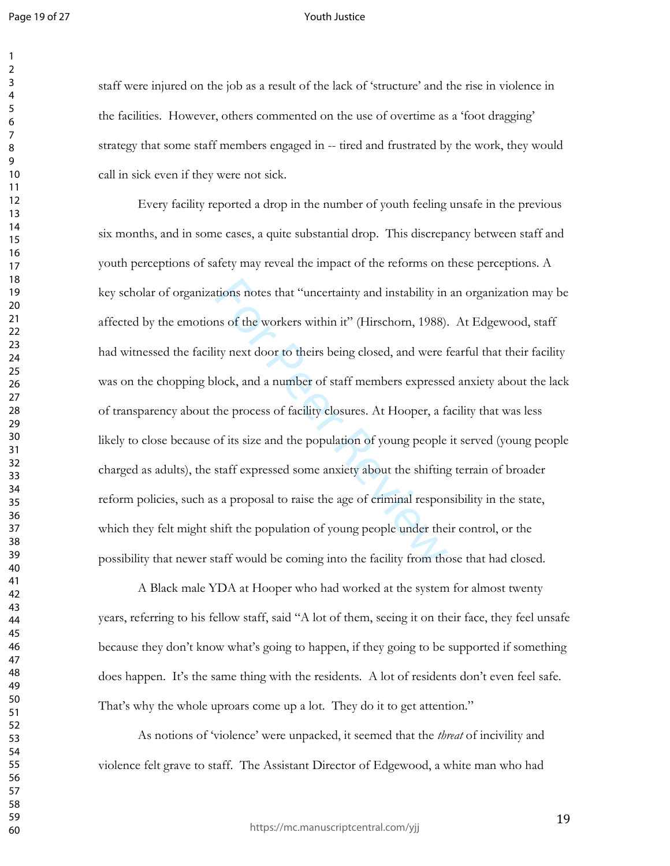Page 19 of 27

## Youth Justice

staff were injured on the job as a result of the lack of 'structure' and the rise in violence in the facilities. However, others commented on the use of overtime as a 'foot dragging' strategy that some staff members engaged in -- tired and frustrated by the work, they would call in sick even if they were not sick.

tions notes that "uncertainty and instability in<br>ns of the workers within it" (Hirschorn, 1988).<br>ity next door to theirs being closed, and were f<br>lock, and a number of staff members expresse<br>the process of facility closure Every facility reported a drop in the number of youth feeling unsafe in the previous six months, and in some cases, a quite substantial drop. This discrepancy between staff and youth perceptions of safety may reveal the impact of the reforms on these perceptions. A key scholar of organizations notes that "uncertainty and instability in an organization may be affected by the emotions of the workers within it" (Hirschorn, 1988). At Edgewood, staff had witnessed the facility next door to theirs being closed, and were fearful that their facility was on the chopping block, and a number of staff members expressed anxiety about the lack of transparency about the process of facility closures. At Hooper, a facility that was less likely to close because of its size and the population of young people it served (young people charged as adults), the staff expressed some anxiety about the shifting terrain of broader reform policies, such as a proposal to raise the age of criminal responsibility in the state, which they felt might shift the population of young people under their control, or the possibility that newer staff would be coming into the facility from those that had closed.

A Black male YDA at Hooper who had worked at the system for almost twenty years, referring to his fellow staff, said "A lot of them, seeing it on their face, they feel unsafe because they don't know what's going to happen, if they going to be supported if something does happen. It's the same thing with the residents. A lot of residents don't even feel safe. That's why the whole uproars come up a lot. They do it to get attention."

As notions of 'violence' were unpacked, it seemed that the *threat* of incivility and violence felt grave to staff. The Assistant Director of Edgewood, a white man who had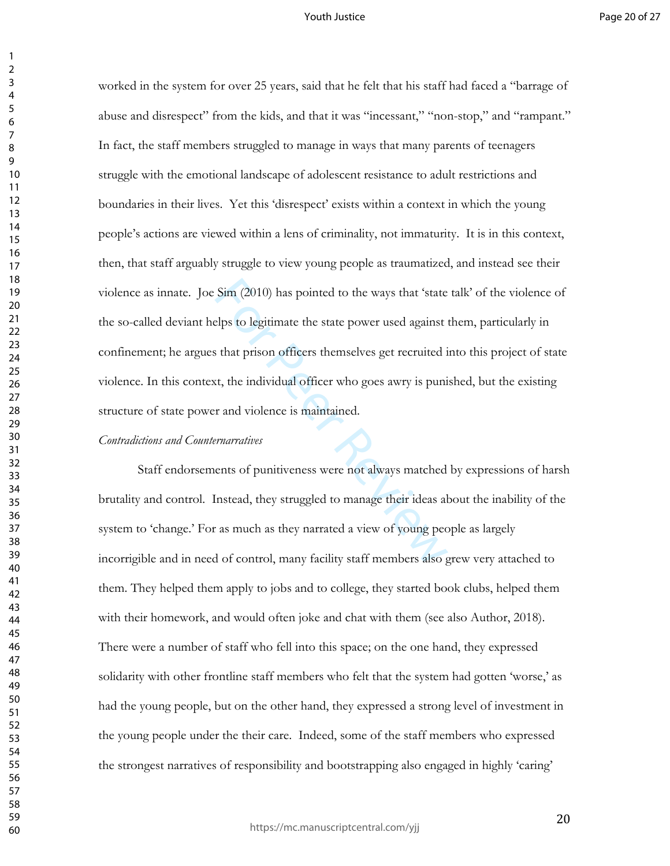Sim (2010) has pointed to the ways that 'state<br>elps to legitimate the state power used against<br>s that prison officers themselves get recruited if<br>t, the individual officer who goes awry is puni<br>r and violence is maintained worked in the system for over 25 years, said that he felt that his staff had faced a "barrage of abuse and disrespect" from the kids, and that it was "incessant," "non-stop," and "rampant." In fact, the staff members struggled to manage in ways that many parents of teenagers struggle with the emotional landscape of adolescent resistance to adult restrictions and boundaries in their lives. Yet this 'disrespect' exists within a context in which the young people's actions are viewed within a lens of criminality, not immaturity. It is in this context, then, that staff arguably struggle to view young people as traumatized, and instead see their violence as innate. Joe Sim (2010) has pointed to the ways that 'state talk' of the violence of the so-called deviant helps to legitimate the state power used against them, particularly in confinement; he argues that prison officers themselves get recruited into this project of state violence. In this context, the individual officer who goes awry is punished, but the existing structure of state power and violence is maintained.

# *Contradictions and Counternarratives*

Staff endorsements of punitiveness were not always matched by expressions of harsh brutality and control. Instead, they struggled to manage their ideas about the inability of the system to 'change.' For as much as they narrated a view of young people as largely incorrigible and in need of control, many facility staff members also grew very attached to them. They helped them apply to jobs and to college, they started book clubs, helped them with their homework, and would often joke and chat with them (see also Author, 2018). There were a number of staff who fell into this space; on the one hand, they expressed solidarity with other frontline staff members who felt that the system had gotten 'worse,' as had the young people, but on the other hand, they expressed a strong level of investment in the young people under the their care. Indeed, some of the staff members who expressed the strongest narratives of responsibility and bootstrapping also engaged in highly 'caring'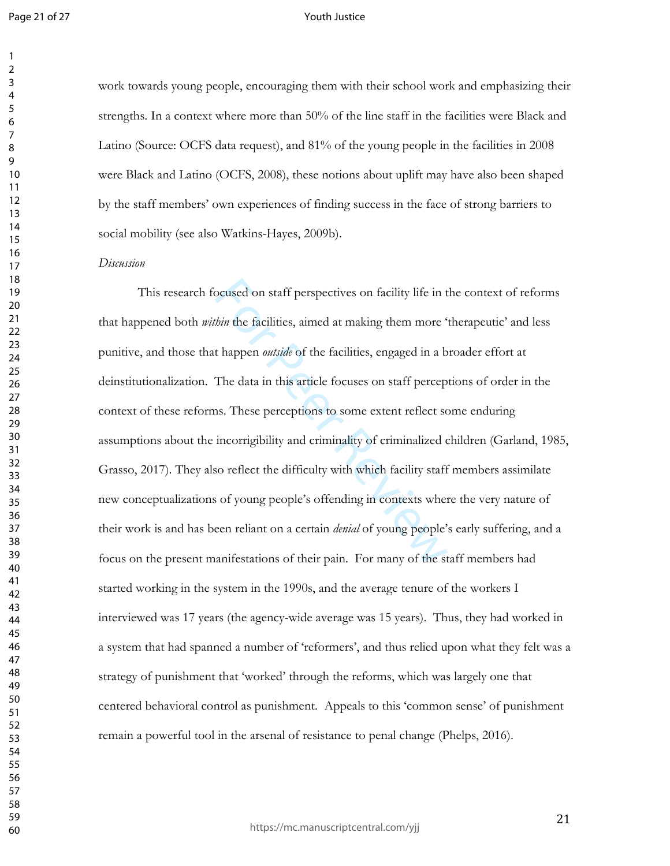Page 21 of 27

## Youth Justice

work towards young people, encouraging them with their school work and emphasizing their strengths. In a context where more than 50% of the line staff in the facilities were Black and Latino (Source: OCFS data request), and 81% of the young people in the facilities in 2008 were Black and Latino (OCFS, 2008), these notions about uplift may have also been shaped by the staff members' own experiences of finding success in the face of strong barriers to social mobility (see also Watkins-Hayes, 2009b).

#### *Discussion*

ocused on staff perspectives on facility life in t<br>
thin the facilities, aimed at making them more<br>
thappen *outside* of the facilities, engaged in a b<br>
The data in this article focuses on staff percep<br>
ns. These perceptio This research focused on staff perspectives on facility life in the context of reforms that happened both *within* the facilities, aimed at making them more 'therapeutic' and less punitive, and those that happen *outside* of the facilities, engaged in a broader effort at deinstitutionalization. The data in this article focuses on staff perceptions of order in the context of these reforms. These perceptions to some extent reflect some enduring assumptions about the incorrigibility and criminality of criminalized children (Garland, 1985, Grasso, 2017). They also reflect the difficulty with which facility staff members assimilate new conceptualizations of young people's offending in contexts where the very nature of their work is and has been reliant on a certain *denial* of young people's early suffering, and a focus on the present manifestations of their pain. For many of the staff members had started working in the system in the 1990s, and the average tenure of the workers I interviewed was 17 years (the agency-wide average was 15 years). Thus, they had worked in a system that had spanned a number of 'reformers', and thus relied upon what they felt was a strategy of punishment that 'worked' through the reforms, which was largely one that centered behavioral control as punishment. Appeals to this 'common sense' of punishment remain a powerful tool in the arsenal of resistance to penal change (Phelps, 2016).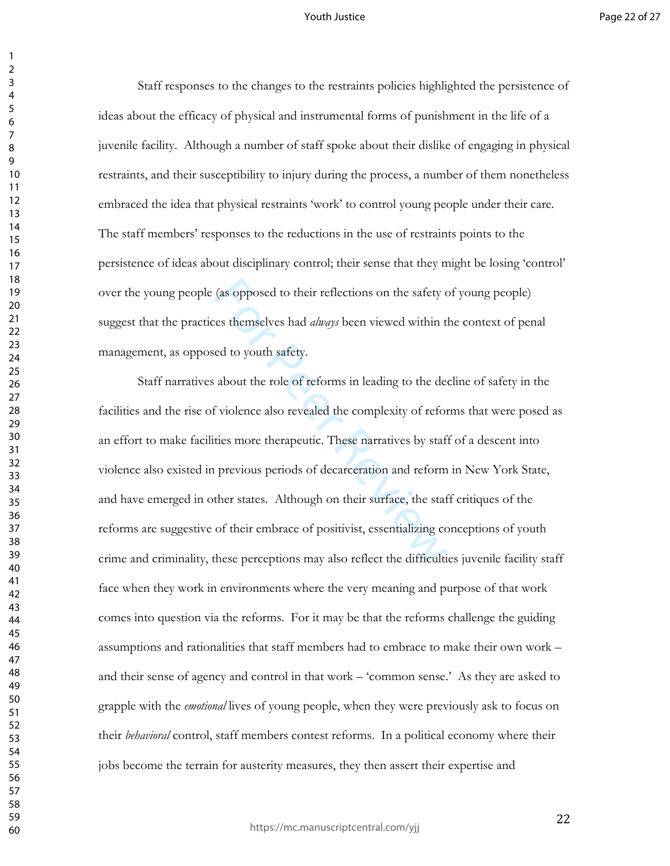Staff responses to the changes to the restraints policies highlighted the persistence of ideas about the efficacy of physical and instrumental forms of punishment in the life of a juvenile facility. Although a number of staff spoke about their dislike of engaging in physical restraints, and their susceptibility to injury during the process, a number of them nonetheless embraced the idea that physical restraints 'work' to control young people under their care. The staff members' responses to the reductions in the use of restraints points to the persistence of ideas about disciplinary control; their sense that they might be losing 'control' over the young people (as opposed to their reflections on the safety of young people) suggest that the practices themselves had *always* been viewed within the context of penal management, as opposed to youth safety.

(as opposed to their reflections on the safety c<br>es themselves had *always* been viewed within tl<br>ed to youth safety.<br>about the role of reforms in leading to the dee<br>iviolence also revealed the complexity of refor<br>ties mor Staff narratives about the role of reforms in leading to the decline of safety in the facilities and the rise of violence also revealed the complexity of reforms that were posed as an effort to make facilities more therapeutic. These narratives by staff of a descent into violence also existed in previous periods of decarceration and reform in New York State, and have emerged in other states. Although on their surface, the staff critiques of the reforms are suggestive of their embrace of positivist, essentializing conceptions of youth crime and criminality, these perceptions may also reflect the difficulties juvenile facility staff face when they work in environments where the very meaning and purpose of that work comes into question via the reforms. For it may be that the reforms challenge the guiding assumptions and rationalities that staff members had to embrace to make their own work – and their sense of agency and control in that work – 'common sense.' As they are asked to grapple with the *emotional* lives of young people, when they were previously ask to focus on their *behavioral* control, staff members contest reforms. In a political economy where their jobs become the terrain for austerity measures, they then assert their expertise and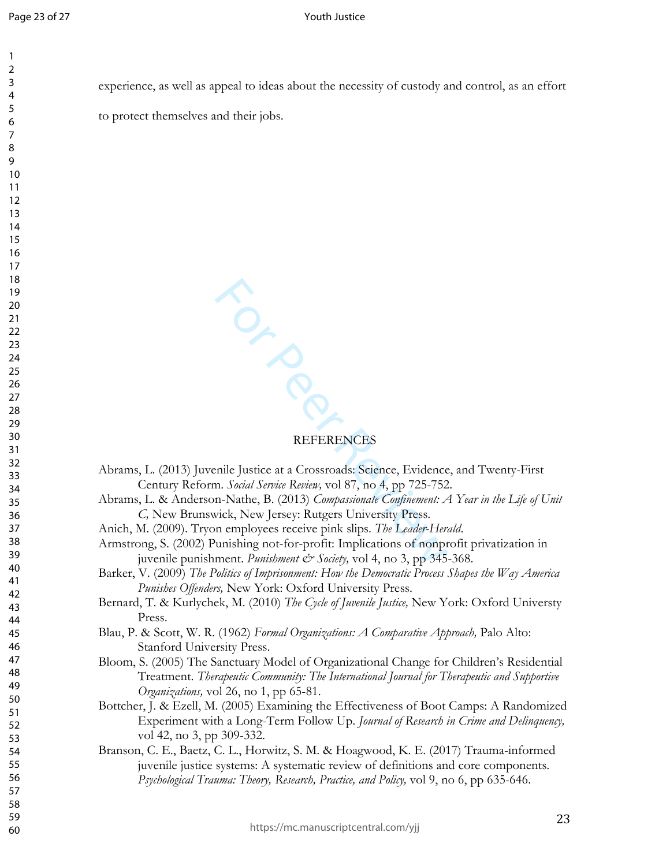#### Youth Justice

experience, as well as appeal to ideas about the necessity of custody and control, as an effort to protect themselves and their jobs.

For Peer Review **REFERENCES** 

- Abrams, L. (2013) Juvenile Justice at a Crossroads: Science, Evidence, and Twenty-First Century Reform. *Social Service Review,* vol 87, no 4, pp 725-752.
- Abrams, L. & Anderson-Nathe, B. (2013) *Compassionate Confinement: A Year in the Life of Unit C,* New Brunswick, New Jersey: Rutgers University Press.
- Anich, M. (2009). Tryon employees receive pink slips. *The Leader-Herald*.
- Armstrong, S. (2002) Punishing not-for-profit: Implications of nonprofit privatization in juvenile punishment. *Punishment & Society*, vol 4, no 3, pp 345-368.
- Barker, V. (2009) *The Politics of Imprisonment: How the Democratic Process Shapes the Way America Punishes Offenders,* New York: Oxford University Press.
- Bernard, T. & Kurlychek, M. (2010) *The Cycle of Juvenile Justice,* New York: Oxford Universty Press.
- Blau, P. & Scott, W. R. (1962) *Formal Organizations: A Comparative Approach,* Palo Alto: Stanford University Press.
- Bloom, S. (2005) The Sanctuary Model of Organizational Change for Children's Residential Treatment. *Therapeutic Community: The International Journal for Therapeutic and Supportive Organizations,* vol 26, no 1, pp 65-81.
- Bottcher, J. & Ezell, M. (2005) Examining the Effectiveness of Boot Camps: A Randomized Experiment with a Long-Term Follow Up. *Journal of Research in Crime and Delinquency,* vol 42, no 3, pp 309-332.
- Branson, C. E., Baetz, C. L., Horwitz, S. M. & Hoagwood, K. E. (2017) Trauma-informed juvenile justice systems: A systematic review of definitions and core components. *Psychological Trauma: Theory, Research, Practice, and Policy,* vol 9, no 6, pp 635-646.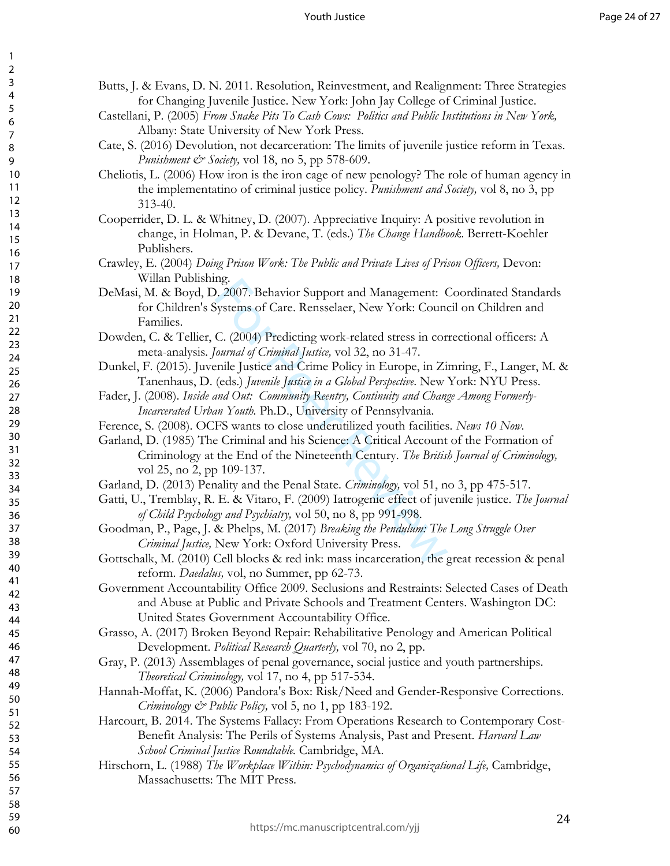Butts, J. & Evans, D. N. 2011. Resolution, Reinvestment, and Realignment: Three Strategies for Changing Juvenile Justice. New York: John Jay College of Criminal Justice. Castellani, P. (2005) *From Snake Pits To Cash Cows: Politics and Public Institutions in New York,* 

| Cate, S. (2016) Devolution, not decarceration: The limits of juvenile justice reform in Texas.                                                                                                                                                                                    |
|-----------------------------------------------------------------------------------------------------------------------------------------------------------------------------------------------------------------------------------------------------------------------------------|
| Punishment & Society, vol 18, no 5, pp 578-609.                                                                                                                                                                                                                                   |
| Cheliotis, L. (2006) How iron is the iron cage of new penology? The role of human agency in<br>the implementatino of criminal justice policy. Punishment and Society, vol 8, no 3, pp<br>313-40.                                                                                  |
| Cooperrider, D. L. & Whitney, D. (2007). Appreciative Inquiry: A positive revolution in                                                                                                                                                                                           |
| change, in Holman, P. & Devane, T. (eds.) The Change Handbook. Berrett-Koehler<br>Publishers.                                                                                                                                                                                     |
| Crawley, E. (2004) Doing Prison Work: The Public and Private Lives of Prison Officers, Devon:<br>Willan Publishing.                                                                                                                                                               |
| DeMasi, M. & Boyd, D. 2007. Behavior Support and Management: Coordinated Standards<br>for Children's Systems of Care. Rensselaer, New York: Council on Children and<br>Families.                                                                                                  |
| Dowden, C. & Tellier, C. (2004) Predicting work-related stress in correctional officers: A<br>meta-analysis. Journal of Criminal Justice, vol 32, no 31-47.                                                                                                                       |
| Dunkel, F. (2015). Juvenile Justice and Crime Policy in Europe, in Zimring, F., Langer, M. &<br>Tanenhaus, D. (eds.) Juvenile Justice in a Global Perspective. New York: NYU Press.<br>Fader, J. (2008). Inside and Out: Community Reentry, Continuity and Change Among Formerly- |
| Incarcerated Urban Youth. Ph.D., University of Pennsylvania.                                                                                                                                                                                                                      |
| Ference, S. (2008). OCFS wants to close underutilized youth facilities. News 10 Now.                                                                                                                                                                                              |
| Garland, D. (1985) The Criminal and his Science: A Critical Account of the Formation of                                                                                                                                                                                           |
| Criminology at the End of the Nineteenth Century. The British Journal of Criminology,<br>vol 25, no 2, pp 109-137.                                                                                                                                                                |
| Garland, D. (2013) Penality and the Penal State. Criminology, vol 51, no 3, pp 475-517.                                                                                                                                                                                           |
| Gatti, U., Tremblay, R. E. & Vitaro, F. (2009) Iatrogenic effect of juvenile justice. The Journal<br>of Child Psychology and Psychiatry, vol 50, no 8, pp 991-998.                                                                                                                |
| Goodman, P., Page, J. & Phelps, M. (2017) Breaking the Pendulum: The Long Struggle Over<br>Criminal Justice, New York: Oxford University Press.                                                                                                                                   |
| Gottschalk, M. (2010) Cell blocks & red ink: mass incarceration, the great recession & penal<br>reform. Daedalus, vol, no Summer, pp 62-73.                                                                                                                                       |
| Government Accountability Office 2009. Seclusions and Restraints: Selected Cases of Death<br>and Abuse at Public and Private Schools and Treatment Centers. Washington DC:<br>United States Government Accountability Office.                                                     |
| Grasso, A. (2017) Broken Beyond Repair: Rehabilitative Penology and American Political<br>Development. Political Research Quarterly, vol 70, no 2, pp.                                                                                                                            |
| Gray, P. (2013) Assemblages of penal governance, social justice and youth partnerships.<br>Theoretical Criminology, vol 17, no 4, pp 517-534.                                                                                                                                     |
| Hannah-Moffat, K. (2006) Pandora's Box: Risk/Need and Gender-Responsive Corrections.<br>Criminology & Public Policy, vol 5, no 1, pp 183-192.                                                                                                                                     |
| Harcourt, B. 2014. The Systems Fallacy: From Operations Research to Contemporary Cost-<br>Benefit Analysis: The Perils of Systems Analysis, Past and Present. Harvard Law<br>School Criminal Justice Roundtable. Cambridge, MA.                                                   |
| Hirschorn, L. (1988) The Workplace Within: Psychodynamics of Organizational Life, Cambridge,<br>Massachusetts: The MIT Press.                                                                                                                                                     |
| 24<br>https://mc.manuscriptcentral.com/yjj                                                                                                                                                                                                                                        |
|                                                                                                                                                                                                                                                                                   |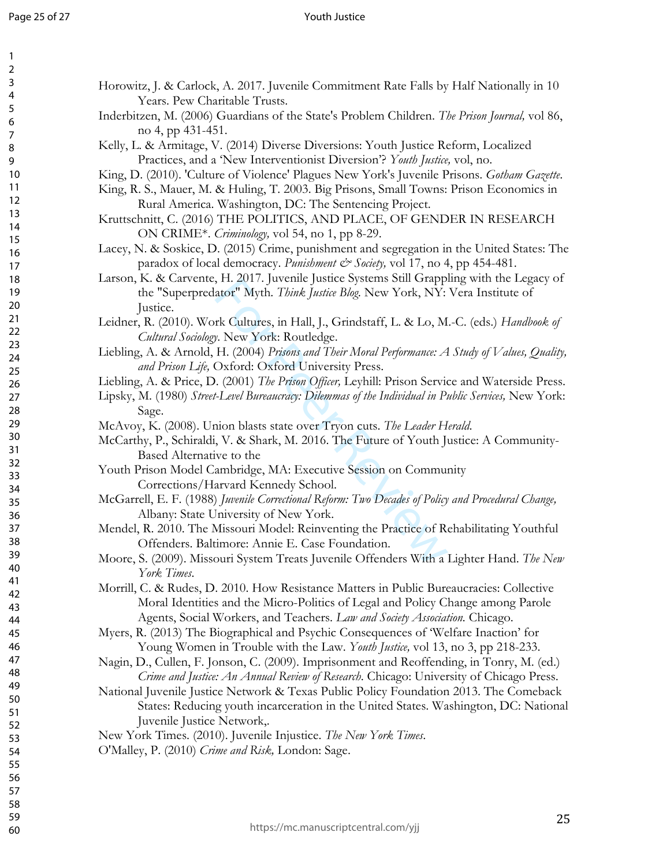#### Youth Justice

| 1        |                                                                                                                           |
|----------|---------------------------------------------------------------------------------------------------------------------------|
| 2<br>3   |                                                                                                                           |
| 4        | Horowitz, J. & Carlock, A. 2017. Juvenile Commitment Rate Falls by Half Nationally in 10<br>Years. Pew Charitable Trusts. |
| 5        |                                                                                                                           |
| 6        | Inderbitzen, M. (2006) Guardians of the State's Problem Children. The Prison Journal, vol 86,                             |
| 7        | no 4, pp 431-451.                                                                                                         |
| 8        | Kelly, L. & Armitage, V. (2014) Diverse Diversions: Youth Justice Reform, Localized                                       |
| 9        | Practices, and a 'New Interventionist Diversion'? Youth Justice, vol, no.                                                 |
| 10<br>11 | King, D. (2010). 'Culture of Violence' Plagues New York's Juvenile Prisons. Gotham Gazette.                               |
| 12       | King, R. S., Mauer, M. & Huling, T. 2003. Big Prisons, Small Towns: Prison Economics in                                   |
| 13       | Rural America. Washington, DC: The Sentencing Project.                                                                    |
| 14       | Kruttschnitt, C. (2016) THE POLITICS, AND PLACE, OF GENDER IN RESEARCH                                                    |
| 15       | ON CRIME*. Criminology, vol 54, no 1, pp 8-29.                                                                            |
| 16       | Lacey, N. & Soskice, D. (2015) Crime, punishment and segregation in the United States: The                                |
| 17       | paradox of local democracy. Punishment & Society, vol 17, no 4, pp 454-481.                                               |
| 18       | Larson, K. & Carvente, H. 2017. Juvenile Justice Systems Still Grappling with the Legacy of                               |
| 19       | the "Superpredator" Myth. Think Justice Blog. New York, NY: Vera Institute of                                             |
| 20       | Justice.                                                                                                                  |
| 21<br>22 | Leidner, R. (2010). Work Cultures, in Hall, J., Grindstaff, L. & Lo, M.-C. (eds.) Handbook of                             |
| 23       | Cultural Sociology. New York: Routledge.                                                                                  |
| 24       | Liebling, A. & Arnold, H. (2004) Prisons and Their Moral Performance: A Study of Values, Quality,                         |
| 25       | and Prison Life, Oxford: Oxford University Press.                                                                         |
| 26       | Liebling, A. & Price, D. (2001) The Prison Officer, Leyhill: Prison Service and Waterside Press.                          |
| 27       | Lipsky, M. (1980) Street-Level Bureaucracy: Dilemmas of the Individual in Public Services, New York:                      |
| 28       | Sage.                                                                                                                     |
| 29       | McAvoy, K. (2008). Union blasts state over Tryon cuts. The Leader Herald.                                                 |
| 30       | McCarthy, P., Schiraldi, V. & Shark, M. 2016. The Future of Youth Justice: A Community-                                   |
| 31       | Based Alternative to the                                                                                                  |
| 32<br>33 | Youth Prison Model Cambridge, MA: Executive Session on Community                                                          |
| 34       | Corrections/Harvard Kennedy School.                                                                                       |
| 35       | McGarrell, E. F. (1988) Juvenile Correctional Reform: Two Decades of Policy and Procedural Change,                        |
| 36       | Albany: State University of New York.                                                                                     |
| 37       | Mendel, R. 2010. The Missouri Model: Reinventing the Practice of Rehabilitating Youthful                                  |
| 38       | Offenders. Baltimore: Annie E. Case Foundation.                                                                           |
| 39       | Moore, S. (2009). Missouri System Treats Juvenile Offenders With a Lighter Hand. The New                                  |
| 40       | York Times.                                                                                                               |
| 41       | Morrill, C. & Rudes, D. 2010. How Resistance Matters in Public Bureaucracies: Collective                                  |
| 42       | Moral Identities and the Micro-Politics of Legal and Policy Change among Parole                                           |
| 43<br>44 | Agents, Social Workers, and Teachers. Law and Society Association. Chicago.                                               |
| 45       | Myers, R. (2013) The Biographical and Psychic Consequences of 'Welfare Inaction' for                                      |
| 46       | Young Women in Trouble with the Law. Youth Justice, vol 13, no 3, pp 218-233.                                             |
| 47       | Nagin, D., Cullen, F. Jonson, C. (2009). Imprisonment and Reoffending, in Tonry, M. (ed.)                                 |
| 48       | Crime and Justice: An Annual Review of Research. Chicago: University of Chicago Press.                                    |
| 49       | National Juvenile Justice Network & Texas Public Policy Foundation 2013. The Comeback                                     |
| 50       | States: Reducing youth incarceration in the United States. Washington, DC: National                                       |
| 51       | Juvenile Justice Network,.                                                                                                |
| 52       | New York Times. (2010). Juvenile Injustice. The New York Times.                                                           |
| 53<br>54 | O'Malley, P. (2010) Crime and Risk, London: Sage.                                                                         |
| 55       |                                                                                                                           |
| 56       |                                                                                                                           |
| 57       |                                                                                                                           |
| 58       |                                                                                                                           |
| 59       | 25                                                                                                                        |
| 60       | https://mc.manuscriptcentral.com/yjj                                                                                      |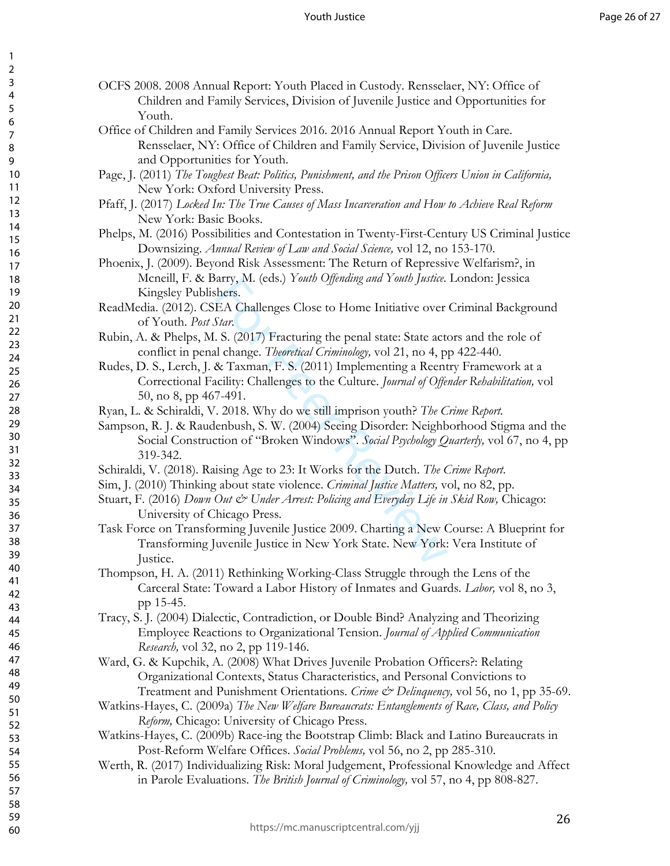| OCFS 2008. 2008 Annual Report: Youth Placed in Custody. Rensselaer, NY: Office of<br>Children and Family Services, Division of Juvenile Justice and Opportunities for |     |
|-----------------------------------------------------------------------------------------------------------------------------------------------------------------------|-----|
| Youth.                                                                                                                                                                |     |
| Office of Children and Family Services 2016. 2016 Annual Report Youth in Care.                                                                                        |     |
| Rensselaer, NY: Office of Children and Family Service, Division of Juvenile Justice                                                                                   |     |
| and Opportunities for Youth.                                                                                                                                          |     |
| Page, J. (2011) The Toughest Beat: Politics, Punishment, and the Prison Officers Union in California,                                                                 |     |
| New York: Oxford University Press.                                                                                                                                    |     |
| Pfaff, J. (2017) Locked In: The True Causes of Mass Incarceration and How to Achieve Real Reform                                                                      |     |
| New York: Basic Books.                                                                                                                                                |     |
| Phelps, M. (2016) Possibilities and Contestation in Twenty-First-Century US Criminal Justice                                                                          |     |
|                                                                                                                                                                       |     |
| Downsizing. Annual Review of Law and Social Science, vol 12, no 153-170.                                                                                              |     |
| Phoenix, J. (2009). Beyond Risk Assessment: The Return of Repressive Welfarism?, in                                                                                   |     |
| Mcneill, F. & Barry, M. (eds.) Youth Offending and Youth Justice. London: Jessica                                                                                     |     |
| Kingsley Publishers.                                                                                                                                                  |     |
| ReadMedia. (2012). CSEA Challenges Close to Home Initiative over Criminal Background                                                                                  |     |
| of Youth. Post Star.                                                                                                                                                  |     |
| Rubin, A. & Phelps, M. S. (2017) Fracturing the penal state: State actors and the role of                                                                             |     |
| conflict in penal change. Theoretical Criminology, vol 21, no 4, pp 422-440.                                                                                          |     |
| Rudes, D. S., Lerch, J. & Taxman, F. S. (2011) Implementing a Reentry Framework at a                                                                                  |     |
| Correctional Facility: Challenges to the Culture. Journal of Offender Rehabilitation, vol                                                                             |     |
| 50, no 8, pp 467-491.                                                                                                                                                 |     |
| Ryan, L. & Schiraldi, V. 2018. Why do we still imprison youth? The Crime Report.                                                                                      |     |
| Sampson, R. J. & Raudenbush, S. W. (2004) Seeing Disorder: Neighborhood Stigma and the                                                                                |     |
| Social Construction of "Broken Windows". Social Psychology Quarterly, vol 67, no 4, pp                                                                                |     |
|                                                                                                                                                                       |     |
| 319-342.                                                                                                                                                              |     |
| Schiraldi, V. (2018). Raising Age to 23: It Works for the Dutch. The Crime Report.                                                                                    |     |
| Sim, J. (2010) Thinking about state violence. Criminal Justice Matters, vol, no 82, pp.                                                                               |     |
| Stuart, F. (2016) Down Out & Under Arrest: Policing and Everyday Life in Skid Row, Chicago:                                                                           |     |
| University of Chicago Press.                                                                                                                                          |     |
| Task Force on Transforming Juvenile Justice 2009. Charting a New Course: A Blueprint for                                                                              |     |
| Transforming Juvenile Justice in New York State. New York: Vera Institute of                                                                                          |     |
| Justice.                                                                                                                                                              |     |
| Thompson, H. A. (2011) Rethinking Working-Class Struggle through the Lens of the                                                                                      |     |
| Carceral State: Toward a Labor History of Inmates and Guards. Labor, vol 8, no 3,                                                                                     |     |
| pp 15-45.                                                                                                                                                             |     |
| Tracy, S. J. (2004) Dialectic, Contradiction, or Double Bind? Analyzing and Theorizing                                                                                |     |
| Employee Reactions to Organizational Tension. Journal of Applied Communication                                                                                        |     |
| Research, vol 32, no 2, pp 119-146.                                                                                                                                   |     |
|                                                                                                                                                                       |     |
| Ward, G. & Kupchik, A. (2008) What Drives Juvenile Probation Officers?: Relating                                                                                      |     |
| Organizational Contexts, Status Characteristics, and Personal Convictions to                                                                                          |     |
| Treatment and Punishment Orientations. Crime & Delinquency, vol 56, no 1, pp 35-69.                                                                                   |     |
| Watkins-Hayes, C. (2009a) The New Welfare Bureaucrats: Entanglements of Race, Class, and Policy                                                                       |     |
| Reform, Chicago: University of Chicago Press.                                                                                                                         |     |
| Watkins-Hayes, C. (2009b) Race-ing the Bootstrap Climb: Black and Latino Bureaucrats in                                                                               |     |
| Post-Reform Welfare Offices. Social Problems, vol 56, no 2, pp 285-310.                                                                                               |     |
| Werth, R. (2017) Individualizing Risk: Moral Judgement, Professional Knowledge and Affect                                                                             |     |
| in Parole Evaluations. The British Journal of Criminology, vol 57, no 4, pp 808-827.                                                                                  |     |
|                                                                                                                                                                       |     |
|                                                                                                                                                                       |     |
|                                                                                                                                                                       | 26. |